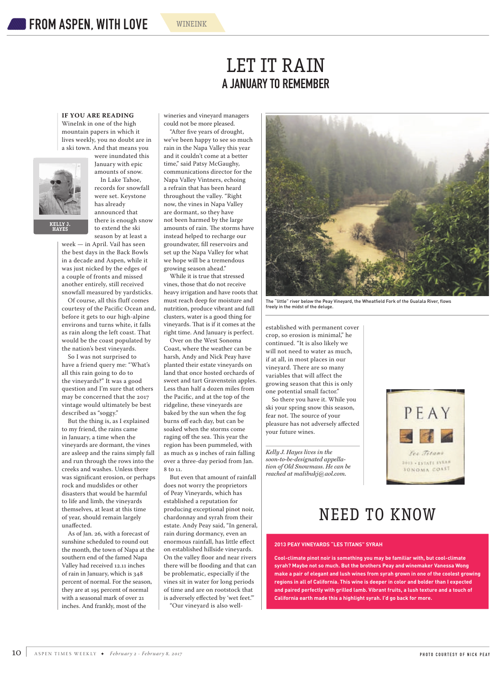## **IF YOU ARE READING** WineInk in one of the high mountain papers in which it lives weekly, you no doubt are in a ski town. And that means you



**KELLY J. HAYES**

were inundated this January with epic amounts of snow. In Lake Tahoe, records for snowfall were set. Keystone has already announced that there is enough snow to extend the ski season by at least a

week — in April. Vail has seen the best days in the Back Bowls in a decade and Aspen, while it was just nicked by the edges of a couple of fronts and missed another entirely, still received snowfall measured by yardsticks.

Of course, all this fluff comes courtesy of the Pacific Ocean and, before it gets to our high-alpine environs and turns white, it falls as rain along the left coast. That would be the coast populated by the nation's best vineyards.

So I was not surprised to have a friend query me: "What's all this rain going to do to the vineyards?" It was a good question and I'm sure that others may be concerned that the 2017 vintage would ultimately be best described as "soggy."

But the thing is, as I explained to my friend, the rains came in January, a time when the vineyards are dormant, the vines are asleep and the rains simply fall and run through the rows into the creeks and washes. Unless there was significant erosion, or perhaps rock and mudslides or other disasters that would be harmful to life and limb, the vineyards themselves, at least at this time of year, should remain largely unaffected.

As of Jan. 26, with a forecast of sunshine scheduled to round out the month, the town of Napa at the southern end of the famed Napa Valley had received 12.11 inches of rain in January, which is 348 percent of normal. For the season, they are at 195 percent of normal with a seasonal mark of over 21 inches. And frankly, most of the

wineries and vineyard managers could not be more pleased.

"After five years of drought, we've been happy to see so much rain in the Napa Valley this year and it couldn't come at a better time," said Patsy McGaughy, communications director for the Napa Valley Vintners, echoing a refrain that has been heard throughout the valley. "Right now, the vines in Napa Valley are dormant, so they have not been harmed by the large amounts of rain. The storms have instead helped to recharge our groundwater, fill reservoirs and set up the Napa Valley for what we hope will be a tremendous growing season ahead."

While it is true that stressed vines, those that do not receive heavy irrigation and have roots that must reach deep for moisture and nutrition, produce vibrant and full clusters, water is a good thing for vineyards. That is if it comes at the right time. And January is perfect.

Over on the West Sonoma Coast, where the weather can be harsh, Andy and Nick Peay have planted their estate vineyards on land that once hosted orchards of sweet and tart Gravenstein apples. Less than half a dozen miles from the Pacific, and at the top of the ridgeline, these vineyards are baked by the sun when the fog burns off each day, but can be soaked when the storms come raging off the sea. This year the region has been pummeled, with as much as 9 inches of rain falling over a three-day period from Jan. 8 to 11.

But even that amount of rainfall does not worry the proprietors of Peay Vineyards, which has established a reputation for producing exceptional pinot noir, chardonnay and syrah from their estate. Andy Peay said, "In general, rain during dormancy, even an enormous rainfall, has little effect on established hillside vineyards. On the valley floor and near rivers there will be flooding and that can be problematic, especially if the vines sit in water for long periods of time and are on rootstock that is adversely effected by 'wet feet.'" "Our vineyard is also well-



The "little" river below the Peay Vineyard, the Wheatfield Fork of the Gualala River, flow freely in the midst of the deluge.

established with permanent cover crop, so erosion is minimal," he continued. "It is also likely we will not need to water as much, if at all, in most places in our vineyard. There are so many variables that will affect the growing season that this is only one potential small factor."

So there you have it. While you ski your spring snow this season, fear not. The source of your pleasure has not adversely affected your future wines.

*Kelly J. Hayes lives in the soon-to-be-designated appellation of Old Snowmass. He can be reached at malibukj@aol.com.*



## NEED TO KNOW

## **2013 PEAY VINEYARDS "LES TITANS" SYRAH**

**Cool-climate pinot noir is something you may be familiar with, but cool-climate syrah? Maybe not so much. But the brothers Peay and winemaker Vanessa Wong make a pair of elegant and lush wines from syrah grown in one of the coolest growing regions in all of California. This wine is deeper in color and bolder than I expected and paired perfectly with grilled lamb. Vibrant fruits, a lush texture and a touch of California earth made this a highlight syrah. I'd go back for more.**